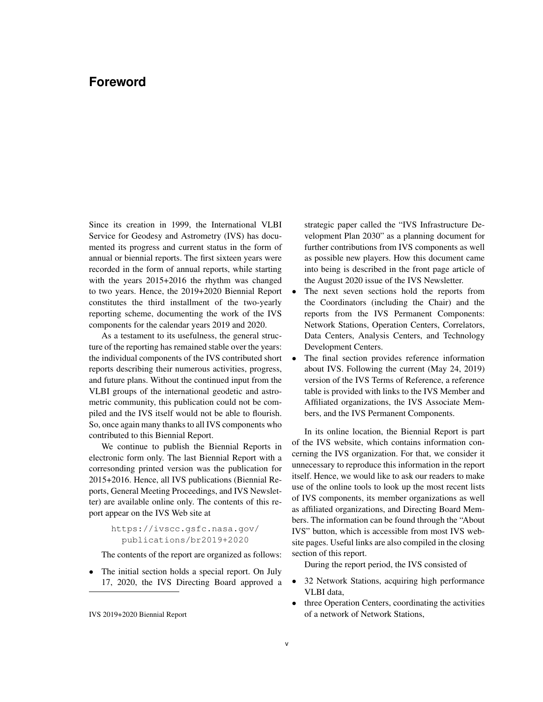## **Foreword**

Since its creation in 1999, the International VLBI Service for Geodesy and Astrometry (IVS) has documented its progress and current status in the form of annual or biennial reports. The first sixteen years were recorded in the form of annual reports, while starting with the years 2015+2016 the rhythm was changed to two years. Hence, the 2019+2020 Biennial Report constitutes the third installment of the two-yearly reporting scheme, documenting the work of the IVS components for the calendar years 2019 and 2020.

As a testament to its usefulness, the general structure of the reporting has remained stable over the years: the individual components of the IVS contributed short reports describing their numerous activities, progress, and future plans. Without the continued input from the VLBI groups of the international geodetic and astrometric community, this publication could not be compiled and the IVS itself would not be able to flourish. So, once again many thanks to all IVS components who contributed to this Biennial Report.

We continue to publish the Biennial Reports in electronic form only. The last Biennial Report with a corresonding printed version was the publication for 2015+2016. Hence, all IVS publications (Biennial Reports, General Meeting Proceedings, and IVS Newsletter) are available online only. The contents of this report appear on the IVS Web site at

> https://ivscc.gsfc.nasa.gov/ publications/br2019+2020

The contents of the report are organized as follows:

The initial section holds a special report. On July 17, 2020, the IVS Directing Board approved a

IVS 2019+2020 Biennial Report

strategic paper called the "IVS Infrastructure Development Plan 2030" as a planning document for further contributions from IVS components as well as possible new players. How this document came into being is described in the front page article of the August 2020 issue of the IVS Newsletter.

- The next seven sections hold the reports from the Coordinators (including the Chair) and the reports from the IVS Permanent Components: Network Stations, Operation Centers, Correlators, Data Centers, Analysis Centers, and Technology Development Centers.
- The final section provides reference information about IVS. Following the current (May 24, 2019) version of the IVS Terms of Reference, a reference table is provided with links to the IVS Member and Affiliated organizations, the IVS Associate Members, and the IVS Permanent Components.

In its online location, the Biennial Report is part of the IVS website, which contains information concerning the IVS organization. For that, we consider it unnecessary to reproduce this information in the report itself. Hence, we would like to ask our readers to make use of the online tools to look up the most recent lists of IVS components, its member organizations as well as affiliated organizations, and Directing Board Members. The information can be found through the "About IVS" button, which is accessible from most IVS website pages. Useful links are also compiled in the closing section of this report.

During the report period, the IVS consisted of

- 32 Network Stations, acquiring high performance VLBI data,
- three Operation Centers, coordinating the activities of a network of Network Stations,